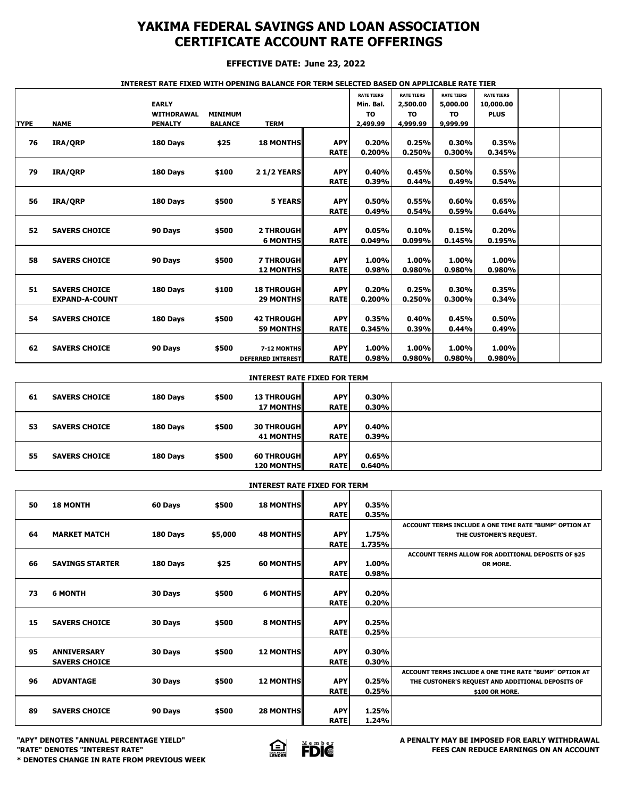## **YAKIMA FEDERAL SAVINGS AND LOAN ASSOCIATION CERTIFICATE ACCOUNT RATE OFFERINGS**

### **EFFECTIVE DATE: June 23, 2022**

### **INTEREST RATE FIXED WITH OPENING BALANCE FOR TERM SELECTED BASED ON APPLICABLE RATE TIER**

|             |                       | <b>EARLY</b><br><b>WITHDRAWAL</b> | <b>MINIMUM</b> |                          |             | <b>RATE TIERS</b><br>Min. Bal.<br><b>TO</b> | <b>RATE TIERS</b><br>2,500.00<br><b>TO</b> | <b>RATE TIERS</b><br>5,000.00<br><b>TO</b> | <b>RATE TIERS</b><br>10,000.00<br><b>PLUS</b> |  |
|-------------|-----------------------|-----------------------------------|----------------|--------------------------|-------------|---------------------------------------------|--------------------------------------------|--------------------------------------------|-----------------------------------------------|--|
| <b>TYPE</b> | <b>NAME</b>           | <b>PENALTY</b>                    | <b>BALANCE</b> | <b>TERM</b>              |             | 2,499.99                                    | 4,999.99                                   | 9,999.99                                   |                                               |  |
|             |                       |                                   |                |                          |             |                                             |                                            |                                            |                                               |  |
| 76          | IRA/QRP               | 180 Days                          | \$25           | <b>18 MONTHS</b>         | <b>APY</b>  | 0.20%                                       | 0.25%                                      | 0.30%                                      | 0.35%                                         |  |
|             |                       |                                   |                |                          | <b>RATE</b> | 0.200%                                      | 0.250%                                     | 0.300%                                     | 0.345%                                        |  |
|             |                       |                                   |                |                          |             |                                             |                                            |                                            |                                               |  |
| 79          | IRA/ORP               | 180 Days                          | \$100          | <b>21/2 YEARS</b>        | <b>APY</b>  | 0.40%                                       | 0.45%                                      | 0.50%                                      | 0.55%                                         |  |
|             |                       |                                   |                |                          | <b>RATE</b> | 0.39%                                       | 0.44%                                      | 0.49%                                      | 0.54%                                         |  |
|             |                       |                                   |                |                          |             |                                             |                                            |                                            |                                               |  |
| 56          | IRA/QRP               | 180 Days                          | \$500          | <b>5 YEARS</b>           | <b>APY</b>  | 0.50%                                       | 0.55%                                      | 0.60%                                      | 0.65%                                         |  |
|             |                       |                                   |                |                          | <b>RATE</b> | 0.49%                                       | 0.54%                                      | 0.59%                                      | 0.64%                                         |  |
|             |                       |                                   |                |                          |             |                                             |                                            |                                            |                                               |  |
| 52          | <b>SAVERS CHOICE</b>  | 90 Days                           | \$500          | <b>2 THROUGH</b>         | <b>APY</b>  | 0.05%                                       | 0.10%                                      | 0.15%                                      | 0.20%                                         |  |
|             |                       |                                   |                | <b>6 MONTHS</b>          | <b>RATE</b> | 0.049%                                      | 0.099%                                     | 0.145%                                     | 0.195%                                        |  |
|             |                       |                                   |                |                          |             |                                             |                                            |                                            |                                               |  |
| 58          | <b>SAVERS CHOICE</b>  | 90 Days                           | \$500          | <b>7 THROUGH</b>         | <b>APY</b>  | 1.00%                                       | 1.00%                                      | 1.00%                                      | 1.00%                                         |  |
|             |                       |                                   |                | <b>12 MONTHS</b>         | <b>RATE</b> | 0.98%                                       | 0.980%                                     | 0.980%                                     | 0.980%                                        |  |
|             |                       |                                   |                |                          |             |                                             |                                            |                                            |                                               |  |
| 51          | <b>SAVERS CHOICE</b>  | 180 Days                          | \$100          | <b>18 THROUGH</b>        | <b>APY</b>  | 0.20%                                       | 0.25%                                      | 0.30%                                      | 0.35%                                         |  |
|             | <b>EXPAND-A-COUNT</b> |                                   |                | <b>29 MONTHS</b>         | <b>RATE</b> | 0.200%                                      | 0.250%                                     | 0.300%                                     | 0.34%                                         |  |
|             |                       |                                   |                |                          |             |                                             |                                            |                                            |                                               |  |
| 54          | <b>SAVERS CHOICE</b>  | 180 Days                          | \$500          | <b>42 THROUGHI</b>       | <b>APY</b>  | 0.35%                                       | 0.40%                                      | 0.45%                                      | 0.50%                                         |  |
|             |                       |                                   |                | <b>59 MONTHS</b>         | <b>RATE</b> | 0.345%                                      | 0.39%                                      | 0.44%                                      | 0.49%                                         |  |
|             |                       |                                   |                |                          |             |                                             |                                            |                                            |                                               |  |
| 62          | <b>SAVERS CHOICE</b>  | 90 Days                           | \$500          | 7-12 MONTHS              | <b>APY</b>  | 1.00%                                       | 1.00%                                      | 1.00%                                      | 1.00%                                         |  |
|             |                       |                                   |                | <b>DEFERRED INTEREST</b> | <b>RATE</b> | 0.98%                                       | 0.980%                                     | 0.980%                                     | 0.980%                                        |  |

| <b>INTEREST RATE FIXED FOR TERM</b> |                      |          |       |                                        |                           |                 |  |  |  |
|-------------------------------------|----------------------|----------|-------|----------------------------------------|---------------------------|-----------------|--|--|--|
| 61                                  | <b>SAVERS CHOICE</b> | 180 Days | \$500 | <b>13 THROUGHI</b>                     | <b>APY</b>                | 0.30%           |  |  |  |
|                                     |                      |          |       | <b>17 MONTHS</b>                       | <b>RATE</b>               | 0.30%           |  |  |  |
| 53                                  | <b>SAVERS CHOICE</b> | 180 Days | \$500 | <b>30 THROUGHI</b><br><b>41 MONTHS</b> | <b>APY</b><br><b>RATE</b> | 0.40%<br>0.39%  |  |  |  |
| 55                                  | <b>SAVERS CHOICE</b> | 180 Days | \$500 | <b>60 THROUGH</b><br><b>120 MONTHS</b> | <b>APY</b><br><b>RATE</b> | 0.65%<br>0.640% |  |  |  |

|    | <b>INTEREST RATE FIXED FOR TERM</b> |          |         |                  |                           |                |                                                        |  |  |  |
|----|-------------------------------------|----------|---------|------------------|---------------------------|----------------|--------------------------------------------------------|--|--|--|
| 50 | <b>18 MONTH</b>                     | 60 Days  | \$500   | <b>18 MONTHS</b> | <b>APY</b><br><b>RATE</b> | 0.35%<br>0.35% |                                                        |  |  |  |
|    |                                     |          |         |                  |                           |                |                                                        |  |  |  |
|    |                                     |          |         |                  |                           |                | ACCOUNT TERMS INCLUDE A ONE TIME RATE "BUMP" OPTION AT |  |  |  |
| 64 | <b>MARKET MATCH</b>                 | 180 Days | \$5,000 | <b>48 MONTHS</b> | <b>APY</b>                | 1.75%          | THE CUSTOMER'S REQUEST.                                |  |  |  |
|    |                                     |          |         |                  | <b>RATE</b>               | 1.735%         |                                                        |  |  |  |
|    |                                     |          |         |                  |                           |                | ACCOUNT TERMS ALLOW FOR ADDITIONAL DEPOSITS OF \$25    |  |  |  |
| 66 | <b>SAVINGS STARTER</b>              | 180 Days | \$25    | <b>60 MONTHS</b> | <b>APY</b>                | 1.00%          | OR MORE.                                               |  |  |  |
|    |                                     |          |         |                  | <b>RATE</b>               | 0.98%          |                                                        |  |  |  |
|    |                                     |          |         |                  |                           |                |                                                        |  |  |  |
| 73 | <b>6 MONTH</b>                      | 30 Days  | \$500   | <b>6 MONTHS</b>  | <b>APY</b>                | 0.20%          |                                                        |  |  |  |
|    |                                     |          |         |                  | <b>RATE</b>               | 0.20%          |                                                        |  |  |  |
|    |                                     |          |         |                  |                           |                |                                                        |  |  |  |
|    |                                     |          |         |                  |                           |                |                                                        |  |  |  |
| 15 | <b>SAVERS CHOICE</b>                | 30 Days  | \$500   | 8 MONTHS         | <b>APY</b>                | 0.25%          |                                                        |  |  |  |
|    |                                     |          |         |                  | <b>RATE</b>               | 0.25%          |                                                        |  |  |  |
|    |                                     |          |         |                  |                           |                |                                                        |  |  |  |
| 95 | <b>ANNIVERSARY</b>                  | 30 Days  | \$500   | <b>12 MONTHS</b> | <b>APY</b>                | 0.30%          |                                                        |  |  |  |
|    | <b>SAVERS CHOICE</b>                |          |         |                  | <b>RATE</b>               | 0.30%          |                                                        |  |  |  |
|    |                                     |          |         |                  |                           |                | ACCOUNT TERMS INCLUDE A ONE TIME RATE "BUMP" OPTION AT |  |  |  |
| 96 | <b>ADVANTAGE</b>                    | 30 Days  | \$500   | <b>12 MONTHS</b> | <b>APY</b>                | 0.25%          | THE CUSTOMER'S REQUEST AND ADDITIONAL DEPOSITS OF      |  |  |  |
|    |                                     |          |         |                  | <b>RATE</b>               | 0.25%          | \$100 OR MORE.                                         |  |  |  |
|    |                                     |          |         |                  |                           |                |                                                        |  |  |  |
| 89 | <b>SAVERS CHOICE</b>                | 90 Days  | \$500   | <b>28 MONTHS</b> | <b>APY</b>                | 1.25%          |                                                        |  |  |  |
|    |                                     |          |         |                  |                           |                |                                                        |  |  |  |
|    |                                     |          |         |                  | <b>RATE</b>               | 1.24%          |                                                        |  |  |  |

**\* DENOTES CHANGE IN RATE FROM PREVIOUS WEEK**



**"APY" DENOTES "ANNUAL PERCENTAGE YIELD" A PENALTY MAY BE IMPOSED FOR EARLY WITHDRAWAL**<br>"RATE" DENOTES "INTEREST RATE" **A PENALTY SESSION ASSESS FOR EARLY AND A PENALTY MAY BE IMPOSED FOR EARLY WITHDRAWAL "RATE" DENOTES "INTEREST RATE" FEES CAN REDUCE EARNINGS ON AN ACCOUNT**